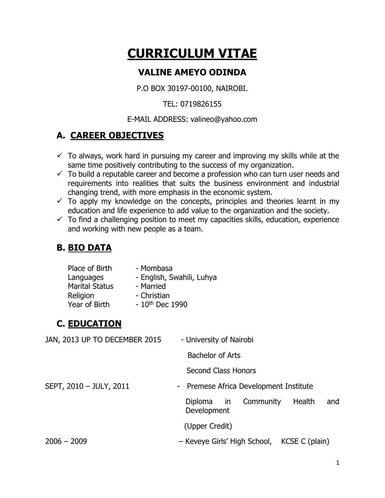# **CURRICULUM VITAE**

## **VALINE AMEYO ODINDA**

P.O BOX 30197-00100, NAIROBI.

#### TEL: 0719826155

#### E-MAIL ADDRESS: valineo@yahoo.com

# **A. CAREER OBJECTIVES**

- $\checkmark$  To always, work hard in pursuing my career and improving my skills while at the same time positively contributing to the success of my organization.
- $\checkmark$  To build a reputable career and become a profession who can turn user needs and requirements into realities that suits the business environment and industrial changing trend, with more emphasis in the economic system.
- $\checkmark$  To apply my knowledge on the concepts, principles and theories learnt in my education and life experience to add value to the organization and the society.
- $\checkmark$  To find a challenging position to meet my capacities skills, education, experience and working with new people as a team.

# **B. BIO DATA**

| Place of Birth        | - Mombasa                 |
|-----------------------|---------------------------|
| Languages             | - English, Swahili, Luhya |
| <b>Marital Status</b> | - Married                 |
| Religion              | - Christian               |
| Year of Birth         | $-10^{th}$ Dec 1990       |

# **C. EDUCATION**

| JAN, 2013 UP TO DECEMBER 2015 | - University of Nairobi                              |
|-------------------------------|------------------------------------------------------|
|                               | <b>Bachelor of Arts</b>                              |
|                               | <b>Second Class Honors</b>                           |
| SEPT, 2010 - JULY, 2011       | - Premese Africa Development Institute               |
|                               | Health<br>Diploma in Community<br>and<br>Development |
|                               | (Upper Credit)                                       |
| $2006 - 2009$                 | - Keveye Girls' High School, KCSE C (plain)          |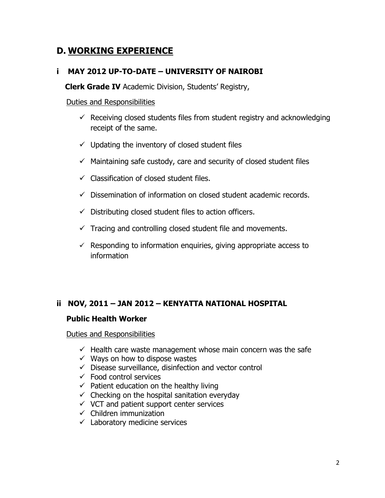# **D. WORKING EXPERIENCE**

#### **i MAY 2012 UP-TO-DATE – UNIVERSITY OF NAIROBI**

 **Clerk Grade IV** Academic Division, Students' Registry,

#### Duties and Responsibilities

- $\checkmark$  Receiving closed students files from student registry and acknowledging receipt of the same.
- $\checkmark$  Updating the inventory of closed student files
- $\checkmark$  Maintaining safe custody, care and security of closed student files
- $\checkmark$  Classification of closed student files.
- $\checkmark$  Dissemination of information on closed student academic records.
- $\checkmark$  Distributing closed student files to action officers.
- $\checkmark$  Tracing and controlling closed student file and movements.
- $\checkmark$  Responding to information enquiries, giving appropriate access to information

#### **ii NOV, 2011 – JAN 2012 – KENYATTA NATIONAL HOSPITAL**

#### **Public Health Worker**

Duties and Responsibilities

- $\checkmark$  Health care waste management whose main concern was the safe
- $\checkmark$  Ways on how to dispose wastes
- $\checkmark$  Disease surveillance, disinfection and vector control
- $\checkmark$  Food control services
- $\checkmark$  Patient education on the healthy living
- $\checkmark$  Checking on the hospital sanitation everyday
- $\checkmark$  VCT and patient support center services
- $\checkmark$  Children immunization
- $\checkmark$  Laboratory medicine services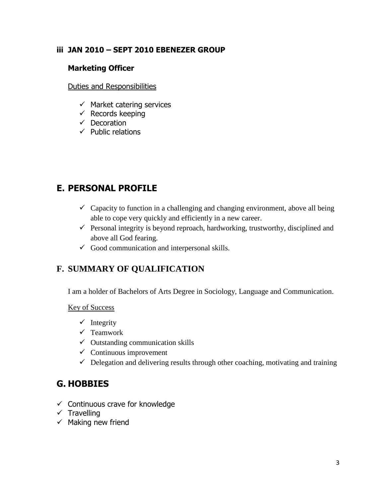#### **iii JAN 2010 – SEPT 2010 EBENEZER GROUP**

#### **Marketing Officer**

Duties and Responsibilities

- $\checkmark$  Market catering services
- $\checkmark$  Records keeping
- $\checkmark$  Decoration
- $\checkmark$  Public relations

# **E. PERSONAL PROFILE**

- $\checkmark$  Capacity to function in a challenging and changing environment, above all being able to cope very quickly and efficiently in a new career.
- $\checkmark$  Personal integrity is beyond reproach, hardworking, trustworthy, disciplined and above all God fearing.
- $\checkmark$  Good communication and interpersonal skills.

### **F. SUMMARY OF QUALIFICATION**

I am a holder of Bachelors of Arts Degree in Sociology, Language and Communication.

Key of Success

- $\checkmark$  Integrity
- $\checkmark$  Teamwork
- $\checkmark$  Outstanding communication skills
- $\checkmark$  Continuous improvement
- $\checkmark$  Delegation and delivering results through other coaching, motivating and training

# **G. HOBBIES**

- $\checkmark$  Continuous crave for knowledge
- $\checkmark$  Travelling
- $\checkmark$  Making new friend